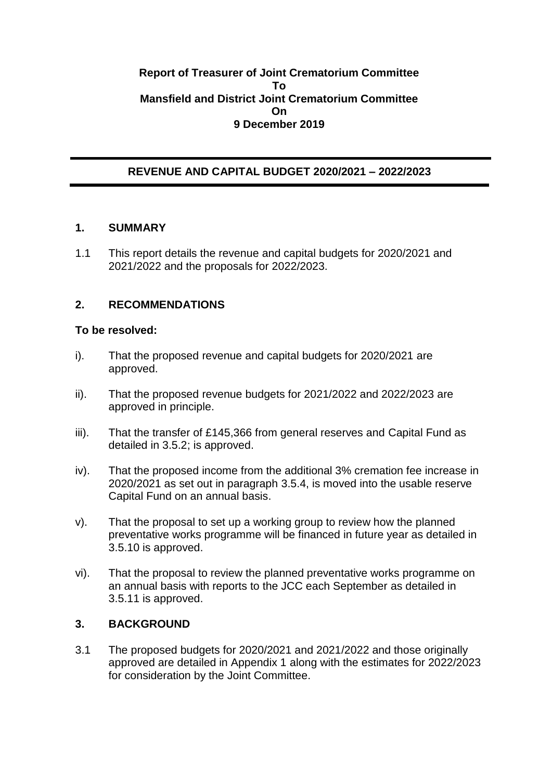#### **Report of Treasurer of Joint Crematorium Committee To Mansfield and District Joint Crematorium Committee On 9 December 2019**

## **REVENUE AND CAPITAL BUDGET 2020/2021 – 2022/2023**

#### **1. SUMMARY**

1.1 This report details the revenue and capital budgets for 2020/2021 and 2021/2022 and the proposals for 2022/2023.

### **2. RECOMMENDATIONS**

#### **To be resolved:**

- i). That the proposed revenue and capital budgets for 2020/2021 are approved.
- ii). That the proposed revenue budgets for 2021/2022 and 2022/2023 are approved in principle.
- iii). That the transfer of £145,366 from general reserves and Capital Fund as detailed in 3.5.2; is approved.
- iv). That the proposed income from the additional 3% cremation fee increase in 2020/2021 as set out in paragraph 3.5.4, is moved into the usable reserve Capital Fund on an annual basis.
- v). That the proposal to set up a working group to review how the planned preventative works programme will be financed in future year as detailed in 3.5.10 is approved.
- vi). That the proposal to review the planned preventative works programme on an annual basis with reports to the JCC each September as detailed in 3.5.11 is approved.

### **3. BACKGROUND**

3.1 The proposed budgets for 2020/2021 and 2021/2022 and those originally approved are detailed in Appendix 1 along with the estimates for 2022/2023 for consideration by the Joint Committee.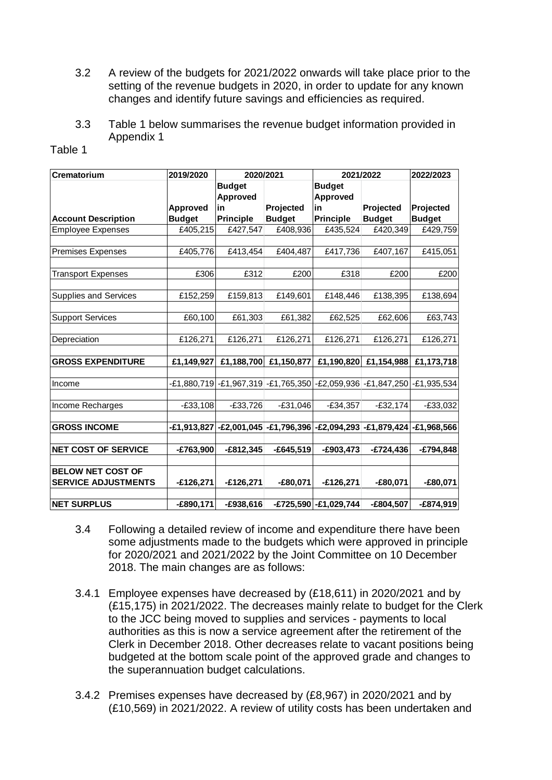- 3.2 A review of the budgets for 2021/2022 onwards will take place prior to the setting of the revenue budgets in 2020, in order to update for any known changes and identify future savings and efficiencies as required.
- 3.3 Table 1 below summarises the revenue budget information provided in Appendix 1

| <b>Crematorium</b>                                     | 2019/2020       | 2020/2021                                                               |               |                                  | 2021/2022     | 2022/2023     |  |  |
|--------------------------------------------------------|-----------------|-------------------------------------------------------------------------|---------------|----------------------------------|---------------|---------------|--|--|
|                                                        |                 | <b>Budget</b>                                                           |               | <b>Budget</b>                    |               |               |  |  |
|                                                        |                 | <b>Approved</b>                                                         |               | <b>Approved</b>                  |               |               |  |  |
|                                                        | <b>Approved</b> | in                                                                      | Projected     | in                               | Projected     | Projected     |  |  |
| <b>Account Description</b>                             | <b>Budget</b>   | <b>Principle</b>                                                        | <b>Budget</b> | <b>Principle</b>                 | <b>Budget</b> | <b>Budget</b> |  |  |
| <b>Employee Expenses</b>                               | £405,215        | £427,547                                                                | £408,936      | £435,524                         | £420,349      | £429,759      |  |  |
| <b>Premises Expenses</b>                               | £405,776        | £413,454                                                                | £404,487      | £417,736                         | £407,167      | £415,051      |  |  |
| <b>Transport Expenses</b>                              | £306            | £312                                                                    | £200          | £318                             | £200          | £200          |  |  |
| Supplies and Services                                  | £152,259        | £159,813                                                                | £149,601      | £148,446                         | £138,395      | £138,694      |  |  |
| <b>Support Services</b>                                | £60,100         | £61,303                                                                 | £61,382       | £62,525                          | £62,606       | £63,743       |  |  |
| Depreciation                                           | £126,271        | £126,271                                                                | £126,271      | £126,271                         | £126,271      | £126,271      |  |  |
| <b>GROSS EXPENDITURE</b>                               | £1,149,927      | £1,188,700                                                              |               | £1,150,877 £1,190,820 £1,154,988 |               | £1,173,718    |  |  |
| Income                                                 |                 | E1,880,719 -E1,967,319 -E1,765,350 -E2,059,936 -E1,847,250 -E1,935,534- |               |                                  |               |               |  |  |
| Income Recharges                                       | $-£33,108$      | $-£33,726$                                                              | $-E31,046$    | $-£34,357$                       | $-£32,174$    | $-E33,032$    |  |  |
| <b>GROSS INCOME</b>                                    |                 | -£1,913,827 -£2,001,045 -£1,796,396 -£2,094,293 -£1,879,424 -£1,968,566 |               |                                  |               |               |  |  |
| <b>NET COST OF SERVICE</b>                             | $-£763,900$     | $-£812,345$                                                             | $-E645,519$   | $-E903,473$                      | $-£724,436$   | -£794,848     |  |  |
| <b>BELOW NET COST OF</b><br><b>SERVICE ADJUSTMENTS</b> | $-£126,271$     | $-£126,271$                                                             | $-£80,071$    | $-£126,271$                      | $-£80,071$    | $-£80,071$    |  |  |
| <b>NET SURPLUS</b>                                     | $-£890,171$     | $-E938,616$                                                             |               | -£725,590 -£1,029,744            | $-£804,507$   | $-£874,919$   |  |  |

- 3.4 Following a detailed review of income and expenditure there have been some adjustments made to the budgets which were approved in principle for 2020/2021 and 2021/2022 by the Joint Committee on 10 December 2018. The main changes are as follows:
- 3.4.1 Employee expenses have decreased by (£18,611) in 2020/2021 and by (£15,175) in 2021/2022. The decreases mainly relate to budget for the Clerk to the JCC being moved to supplies and services - payments to local authorities as this is now a service agreement after the retirement of the Clerk in December 2018. Other decreases relate to vacant positions being budgeted at the bottom scale point of the approved grade and changes to the superannuation budget calculations.
- 3.4.2 Premises expenses have decreased by (£8,967) in 2020/2021 and by (£10,569) in 2021/2022. A review of utility costs has been undertaken and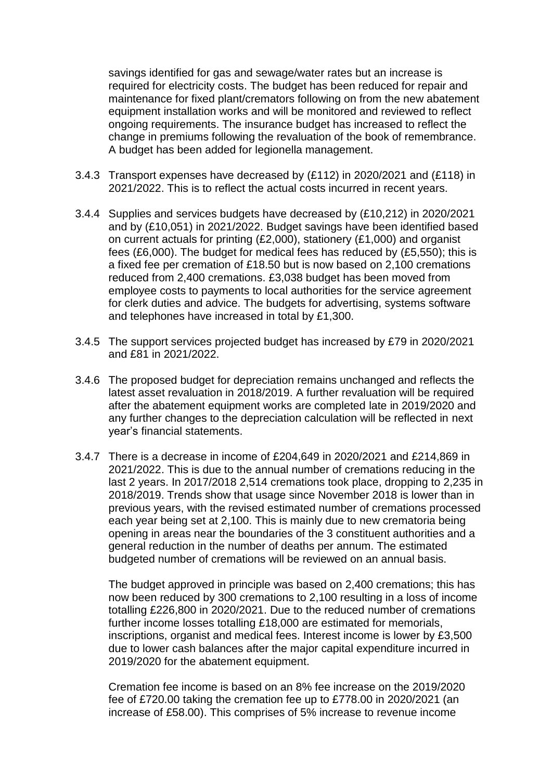savings identified for gas and sewage/water rates but an increase is required for electricity costs. The budget has been reduced for repair and maintenance for fixed plant/cremators following on from the new abatement equipment installation works and will be monitored and reviewed to reflect ongoing requirements. The insurance budget has increased to reflect the change in premiums following the revaluation of the book of remembrance. A budget has been added for legionella management.

- 3.4.3 Transport expenses have decreased by (£112) in 2020/2021 and (£118) in 2021/2022. This is to reflect the actual costs incurred in recent years.
- 3.4.4 Supplies and services budgets have decreased by (£10,212) in 2020/2021 and by (£10,051) in 2021/2022. Budget savings have been identified based on current actuals for printing (£2,000), stationery (£1,000) and organist fees (£6,000). The budget for medical fees has reduced by (£5,550); this is a fixed fee per cremation of £18.50 but is now based on 2,100 cremations reduced from 2,400 cremations. £3,038 budget has been moved from employee costs to payments to local authorities for the service agreement for clerk duties and advice. The budgets for advertising, systems software and telephones have increased in total by £1,300.
- 3.4.5 The support services projected budget has increased by £79 in 2020/2021 and £81 in 2021/2022.
- 3.4.6 The proposed budget for depreciation remains unchanged and reflects the latest asset revaluation in 2018/2019. A further revaluation will be required after the abatement equipment works are completed late in 2019/2020 and any further changes to the depreciation calculation will be reflected in next year's financial statements.
- 3.4.7 There is a decrease in income of £204,649 in 2020/2021 and £214,869 in 2021/2022. This is due to the annual number of cremations reducing in the last 2 years. In 2017/2018 2,514 cremations took place, dropping to 2,235 in 2018/2019. Trends show that usage since November 2018 is lower than in previous years, with the revised estimated number of cremations processed each year being set at 2,100. This is mainly due to new crematoria being opening in areas near the boundaries of the 3 constituent authorities and a general reduction in the number of deaths per annum. The estimated budgeted number of cremations will be reviewed on an annual basis.

The budget approved in principle was based on 2,400 cremations; this has now been reduced by 300 cremations to 2,100 resulting in a loss of income totalling £226,800 in 2020/2021. Due to the reduced number of cremations further income losses totalling £18,000 are estimated for memorials, inscriptions, organist and medical fees. Interest income is lower by £3,500 due to lower cash balances after the major capital expenditure incurred in 2019/2020 for the abatement equipment.

Cremation fee income is based on an 8% fee increase on the 2019/2020 fee of £720.00 taking the cremation fee up to £778.00 in 2020/2021 (an increase of £58.00). This comprises of 5% increase to revenue income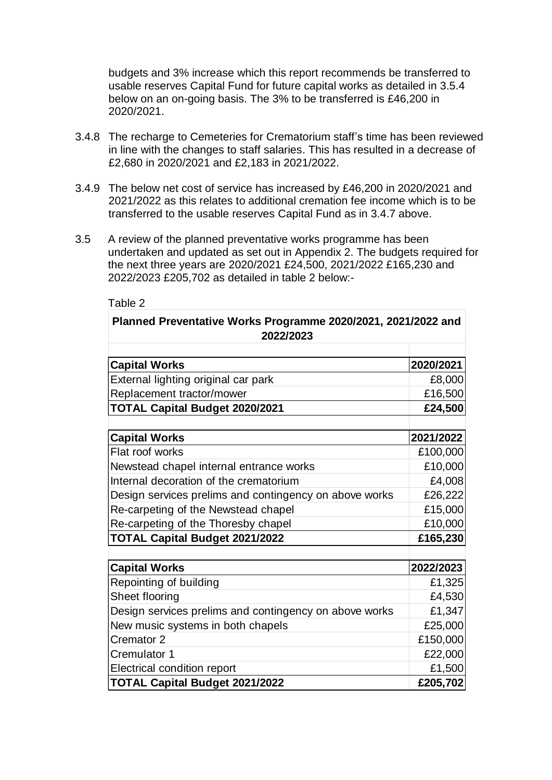budgets and 3% increase which this report recommends be transferred to usable reserves Capital Fund for future capital works as detailed in 3.5.4 below on an on-going basis. The 3% to be transferred is £46,200 in 2020/2021.

- 3.4.8 The recharge to Cemeteries for Crematorium staff's time has been reviewed in line with the changes to staff salaries. This has resulted in a decrease of £2,680 in 2020/2021 and £2,183 in 2021/2022.
- 3.4.9 The below net cost of service has increased by £46,200 in 2020/2021 and 2021/2022 as this relates to additional cremation fee income which is to be transferred to the usable reserves Capital Fund as in 3.4.7 above.
- 3.5 A review of the planned preventative works programme has been undertaken and updated as set out in Appendix 2. The budgets required for the next three years are 2020/2021 £24,500, 2021/2022 £165,230 and 2022/2023 £205,702 as detailed in table 2 below:-

| Table 2                                                                    |           |
|----------------------------------------------------------------------------|-----------|
| Planned Preventative Works Programme 2020/2021, 2021/2022 and<br>2022/2023 |           |
|                                                                            |           |
| <b>Capital Works</b>                                                       | 2020/2021 |
| External lighting original car park                                        | £8,000    |
| Replacement tractor/mower                                                  | £16,500   |
| <b>TOTAL Capital Budget 2020/2021</b>                                      | £24,500   |
|                                                                            |           |
| <b>Capital Works</b>                                                       | 2021/2022 |
| Flat roof works                                                            | £100,000  |
| Newstead chapel internal entrance works                                    | £10,000   |
| Internal decoration of the crematorium                                     | £4,008    |
| Design services prelims and contingency on above works                     | £26,222   |
| Re-carpeting of the Newstead chapel                                        | £15,000   |
| Re-carpeting of the Thoresby chapel                                        | £10,000   |
| <b>TOTAL Capital Budget 2021/2022</b>                                      | £165,230  |
|                                                                            |           |
| <b>Capital Works</b>                                                       | 2022/2023 |
| Repointing of building                                                     | £1,325    |
| Sheet flooring                                                             | £4,530    |
| Design services prelims and contingency on above works                     | £1,347    |
| New music systems in both chapels                                          | £25,000   |
| Cremator <sub>2</sub>                                                      | £150,000  |
| Cremulator 1                                                               | £22,000   |
| <b>Electrical condition report</b>                                         | £1,500    |
| <b>TOTAL Capital Budget 2021/2022</b>                                      | £205,702  |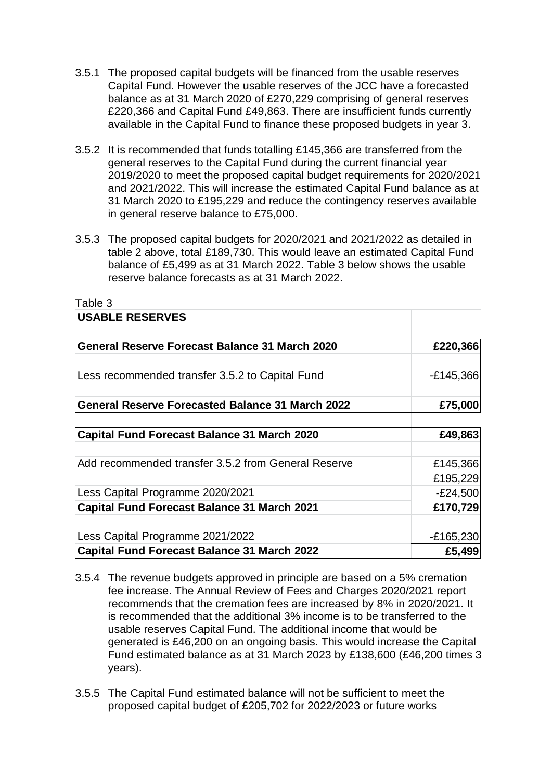- 3.5.1 The proposed capital budgets will be financed from the usable reserves Capital Fund. However the usable reserves of the JCC have a forecasted balance as at 31 March 2020 of £270,229 comprising of general reserves £220,366 and Capital Fund £49,863. There are insufficient funds currently available in the Capital Fund to finance these proposed budgets in year 3.
- 3.5.2 It is recommended that funds totalling £145,366 are transferred from the general reserves to the Capital Fund during the current financial year 2019/2020 to meet the proposed capital budget requirements for 2020/2021 and 2021/2022. This will increase the estimated Capital Fund balance as at 31 March 2020 to £195,229 and reduce the contingency reserves available in general reserve balance to £75,000.
- 3.5.3 The proposed capital budgets for 2020/2021 and 2021/2022 as detailed in table 2 above, total £189,730. This would leave an estimated Capital Fund balance of £5,499 as at 31 March 2022. Table 3 below shows the usable reserve balance forecasts as at 31 March 2022.

Table 3

| ט טושטו                                                 |             |
|---------------------------------------------------------|-------------|
| <b>USABLE RESERVES</b>                                  |             |
|                                                         |             |
| <b>General Reserve Forecast Balance 31 March 2020</b>   | £220,366    |
|                                                         |             |
| Less recommended transfer 3.5.2 to Capital Fund         | $-E145,366$ |
| <b>General Reserve Forecasted Balance 31 March 2022</b> | £75,000     |
|                                                         |             |
| <b>Capital Fund Forecast Balance 31 March 2020</b>      | £49,863     |
| Add recommended transfer 3.5.2 from General Reserve     | £145,366    |
|                                                         | £195,229    |
| Less Capital Programme 2020/2021                        | $-E24,500$  |
| <b>Capital Fund Forecast Balance 31 March 2021</b>      | £170,729    |
| Less Capital Programme 2021/2022                        | $-E165,230$ |
| <b>Capital Fund Forecast Balance 31 March 2022</b>      | £5,499      |

- 3.5.4 The revenue budgets approved in principle are based on a 5% cremation fee increase. The Annual Review of Fees and Charges 2020/2021 report recommends that the cremation fees are increased by 8% in 2020/2021. It is recommended that the additional 3% income is to be transferred to the usable reserves Capital Fund. The additional income that would be generated is £46,200 on an ongoing basis. This would increase the Capital Fund estimated balance as at 31 March 2023 by £138,600 (£46,200 times 3 years).
- 3.5.5 The Capital Fund estimated balance will not be sufficient to meet the proposed capital budget of £205,702 for 2022/2023 or future works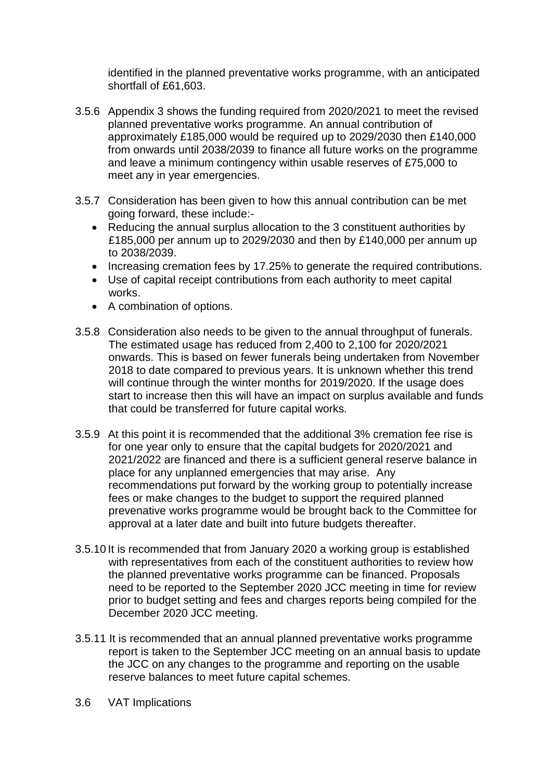identified in the planned preventative works programme, with an anticipated shortfall of £61,603.

- 3.5.6 Appendix 3 shows the funding required from 2020/2021 to meet the revised planned preventative works programme. An annual contribution of approximately £185,000 would be required up to 2029/2030 then £140,000 from onwards until 2038/2039 to finance all future works on the programme and leave a minimum contingency within usable reserves of £75,000 to meet any in year emergencies.
- 3.5.7 Consideration has been given to how this annual contribution can be met going forward, these include:-
	- Reducing the annual surplus allocation to the 3 constituent authorities by £185,000 per annum up to 2029/2030 and then by £140,000 per annum up to 2038/2039.
	- Increasing cremation fees by 17.25% to generate the required contributions.
	- Use of capital receipt contributions from each authority to meet capital works.
	- A combination of options.
- 3.5.8 Consideration also needs to be given to the annual throughput of funerals. The estimated usage has reduced from 2,400 to 2,100 for 2020/2021 onwards. This is based on fewer funerals being undertaken from November 2018 to date compared to previous years. It is unknown whether this trend will continue through the winter months for 2019/2020. If the usage does start to increase then this will have an impact on surplus available and funds that could be transferred for future capital works.
- 3.5.9 At this point it is recommended that the additional 3% cremation fee rise is for one year only to ensure that the capital budgets for 2020/2021 and 2021/2022 are financed and there is a sufficient general reserve balance in place for any unplanned emergencies that may arise. Any recommendations put forward by the working group to potentially increase fees or make changes to the budget to support the required planned prevenative works programme would be brought back to the Committee for approval at a later date and built into future budgets thereafter.
- 3.5.10 It is recommended that from January 2020 a working group is established with representatives from each of the constituent authorities to review how the planned preventative works programme can be financed. Proposals need to be reported to the September 2020 JCC meeting in time for review prior to budget setting and fees and charges reports being compiled for the December 2020 JCC meeting.
- 3.5.11 It is recommended that an annual planned preventative works programme report is taken to the September JCC meeting on an annual basis to update the JCC on any changes to the programme and reporting on the usable reserve balances to meet future capital schemes.
- 3.6 VAT Implications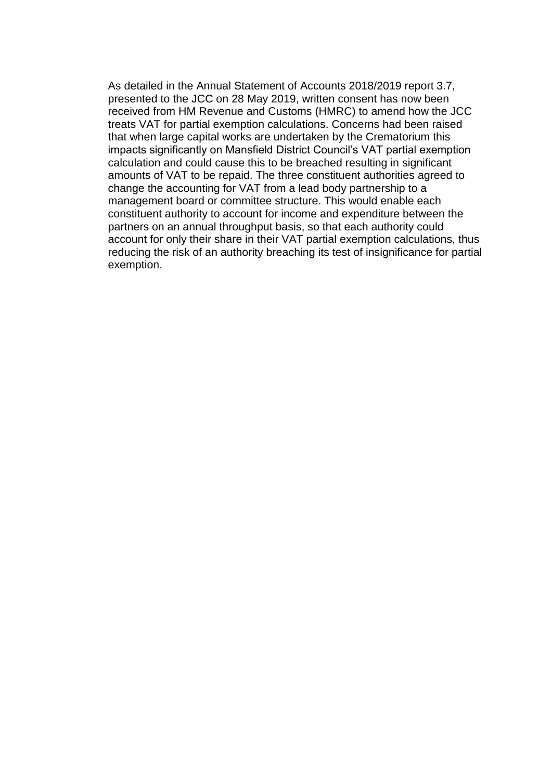As detailed in the Annual Statement of Accounts 2018/2019 report 3.7, presented to the JCC on 28 May 2019, written consent has now been received from HM Revenue and Customs (HMRC) to amend how the JCC treats VAT for partial exemption calculations. Concerns had been raised that when large capital works are undertaken by the Crematorium this impacts significantly on Mansfield District Council's VAT partial exemption calculation and could cause this to be breached resulting in significant amounts of VAT to be repaid. The three constituent authorities agreed to change the accounting for VAT from a lead body partnership to a management board or committee structure. This would enable each constituent authority to account for income and expenditure between the partners on an annual throughput basis, so that each authority could account for only their share in their VAT partial exemption calculations, thus reducing the risk of an authority breaching its test of insignificance for partial exemption.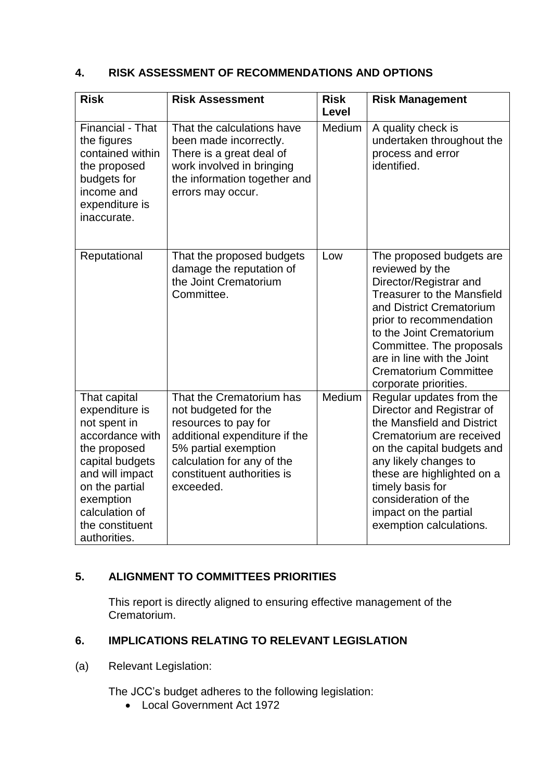## **4. RISK ASSESSMENT OF RECOMMENDATIONS AND OPTIONS**

| <b>Risk</b>                                                                                                                                                                                                 | <b>Risk Assessment</b>                                                                                                                                                                                     | <b>Risk</b><br><b>Level</b> | <b>Risk Management</b>                                                                                                                                                                                                                                                                                           |
|-------------------------------------------------------------------------------------------------------------------------------------------------------------------------------------------------------------|------------------------------------------------------------------------------------------------------------------------------------------------------------------------------------------------------------|-----------------------------|------------------------------------------------------------------------------------------------------------------------------------------------------------------------------------------------------------------------------------------------------------------------------------------------------------------|
| <b>Financial - That</b><br>the figures<br>contained within<br>the proposed<br>budgets for<br>income and<br>expenditure is<br>inaccurate.                                                                    | That the calculations have<br>been made incorrectly.<br>There is a great deal of<br>work involved in bringing<br>the information together and<br>errors may occur.                                         | Medium                      | A quality check is<br>undertaken throughout the<br>process and error<br>identified.                                                                                                                                                                                                                              |
| Reputational                                                                                                                                                                                                | That the proposed budgets<br>damage the reputation of<br>the Joint Crematorium<br>Committee.                                                                                                               | Low                         | The proposed budgets are<br>reviewed by the<br>Director/Registrar and<br><b>Treasurer to the Mansfield</b><br>and District Crematorium<br>prior to recommendation<br>to the Joint Crematorium<br>Committee. The proposals<br>are in line with the Joint<br><b>Crematorium Committee</b><br>corporate priorities. |
| That capital<br>expenditure is<br>not spent in<br>accordance with<br>the proposed<br>capital budgets<br>and will impact<br>on the partial<br>exemption<br>calculation of<br>the constituent<br>authorities. | That the Crematorium has<br>not budgeted for the<br>resources to pay for<br>additional expenditure if the<br>5% partial exemption<br>calculation for any of the<br>constituent authorities is<br>exceeded. | Medium                      | Regular updates from the<br>Director and Registrar of<br>the Mansfield and District<br>Crematorium are received<br>on the capital budgets and<br>any likely changes to<br>these are highlighted on a<br>timely basis for<br>consideration of the<br>impact on the partial<br>exemption calculations.             |

# **5. ALIGNMENT TO COMMITTEES PRIORITIES**

This report is directly aligned to ensuring effective management of the Crematorium.

# **6. IMPLICATIONS RELATING TO RELEVANT LEGISLATION**

(a) Relevant Legislation:

The JCC's budget adheres to the following legislation:

**Local Government Act 1972**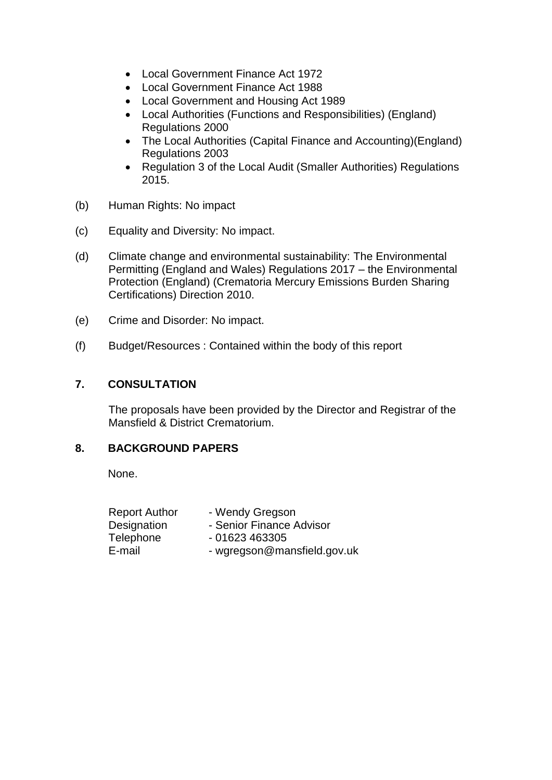- Local Government Finance Act 1972
- Local Government Finance Act 1988
- Local Government and Housing Act 1989
- Local Authorities (Functions and Responsibilities) (England) Regulations 2000
- The Local Authorities (Capital Finance and Accounting)(England) Regulations 2003
- Regulation 3 of the Local Audit (Smaller Authorities) Regulations 2015.
- (b) Human Rights: No impact
- (c) Equality and Diversity: No impact.
- (d) Climate change and environmental sustainability: The Environmental Permitting (England and Wales) Regulations 2017 – the Environmental Protection (England) (Crematoria Mercury Emissions Burden Sharing Certifications) Direction 2010.
- (e) Crime and Disorder: No impact.
- (f) Budget/Resources : Contained within the body of this report

## **7. CONSULTATION**

The proposals have been provided by the Director and Registrar of the Mansfield & District Crematorium.

## **8. BACKGROUND PAPERS**

None.

| <b>Report Author</b> | - Wendy Gregson             |
|----------------------|-----------------------------|
| Designation          | - Senior Finance Advisor    |
| Telephone            | $-01623463305$              |
| E-mail               | - wgregson@mansfield.gov.uk |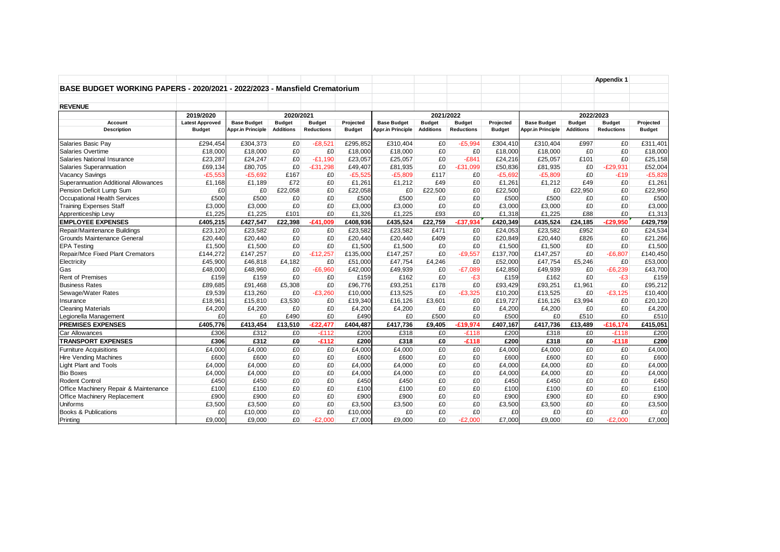|                                                                            |                        |                          |                  |                   |               |                    |                  |                   |               |                                                  |                  | <b>Appendix 1</b> |               |
|----------------------------------------------------------------------------|------------------------|--------------------------|------------------|-------------------|---------------|--------------------|------------------|-------------------|---------------|--------------------------------------------------|------------------|-------------------|---------------|
| BASE BUDGET WORKING PAPERS - 2020/2021 - 2022/2023 - Mansfield Crematorium |                        |                          |                  |                   |               |                    |                  |                   |               |                                                  |                  |                   |               |
|                                                                            |                        |                          |                  |                   |               |                    |                  |                   |               |                                                  |                  |                   |               |
| <b>REVENUE</b>                                                             |                        |                          |                  |                   |               |                    |                  |                   |               |                                                  |                  |                   |               |
|                                                                            | 2019/2020              |                          | 2020/2021        |                   |               |                    | 2021/2022        |                   |               |                                                  |                  |                   |               |
| Account                                                                    | <b>Latest Approved</b> | <b>Base Budget</b>       | <b>Budget</b>    | <b>Budget</b>     | Projected     | <b>Base Budget</b> | <b>Budget</b>    | <b>Budget</b>     | Projected     | 2022/2023<br><b>Base Budget</b><br><b>Budget</b> |                  | <b>Budget</b>     | Projected     |
| <b>Description</b>                                                         | <b>Budget</b>          | <b>Appr.in Principle</b> | <b>Additions</b> | <b>Reductions</b> | <b>Budget</b> | Appr.in Principle  | <b>Additions</b> | <b>Reductions</b> | <b>Budget</b> | <b>Appr.in Principle</b>                         | <b>Additions</b> | <b>Reductions</b> | <b>Budget</b> |
| Salaries Basic Pay                                                         | £294,454               | £304,373                 | £0               | $-E8,521$         | £295,852      | £310,404           | £0               | $-£5,994$         | £304,410      | £310,404                                         | £997             | £0                | £311,401      |
| Salaries Overtime                                                          | £18,000                | £18,000                  | £0               | £0                | £18,000       | £18,000            | £0               | £0                | £18,000       | £18,000                                          | £0               | £0                | £18,000       |
| Salaries National Insurance                                                | £23,287                | £24,247                  | £0               | $-E1,190$         | £23,057       | £25,057            | £0               | $-E841$           | £24,216       | £25,057                                          | £101             | £0                | £25,158       |
| Salaries Superannuation                                                    | £69,134                | £80,705                  | £0               | $-E31,298$        | £49,407       | £81,935            | £0               | $-£31,099$        | £50,836       | £81,935                                          | £0               | $-E29,931$        | £52,004       |
| <b>Vacancy Savings</b>                                                     | $-£5,553$              | $-E5,692$                | £167             | £0                | $-£5,525$     | $-£5,809$          | £117             | £0                | $-£5,692$     | $-£5,809$                                        | £0               | $-E19$            | $-£5,828$     |
| Superannuation Additional Allowances                                       | £1,168                 | £1,189                   | £72              | £0                | £1,261        | £1,212             | £49              | £0                | £1,261        | £1,212                                           | £49              | £0                | £1,261        |
| Pension Deficit Lump Sum                                                   | £0                     | £0                       | £22.058          | £0                | £22,058       | £0                 | £22,500          | £0                | £22,500       | £0                                               | £22.950          | £0                | £22,950       |
| Occupational Health Services                                               | £500                   | £500                     | £0               | £0                | £500          | £500               | £0               | £0                | £500          | £500                                             | £0               | £0                | £500          |
| <b>Training Expenses Staff</b>                                             | £3,000                 | £3,000                   | £0               | £0                | £3,000        | £3,000             | £0               | £0                | £3,000        | £3,000                                           | £0               | £0                | £3,000        |
| Apprenticeship Levy                                                        | £1,225                 | £1,225                   | £101             | £0                | £1,326        | £1,225             | £93              | £0                | £1,318        | £1,225                                           | £88              | £0                | £1,313        |
| <b>EMPLOYEE EXPENSES</b>                                                   | £405,215               | £427,547                 | £22,398          | $-£41$<br>,009    | £408,936      | £435,524           | £22,759          | $-£37,934$        | £420,349      | £435,524                                         | £24,185          | $-£29,950$        | £429,759      |
| Repair/Maintenance Buildings                                               | £23,120                | £23,582                  | £0               | £0                | £23,582       | £23,582            | £471             | £0                | £24,053       | £23,582                                          | £952             | £0                | £24,534       |
| Grounds Maintenance General                                                | £20,440                | £20,440                  | £0               | £0                | £20,440       | £20,440            | £409             | £0                | £20,849       | £20,440                                          | £826             | £0                | £21,266       |
| <b>EPA Testing</b>                                                         | £1,500                 | £1,500                   | £0               | £0                | £1,500        | £1.500             | £0               | £0                | £1,500        | £1,500                                           | £0               | £0                | £1,500        |
| Repair/Mce Fixed Plant Cremators                                           | £144,272               | £147,257                 | £0               | $-E12,257$        | £135,000      | £147,257           | £0               | $-£9,557$         | £137,700      | £147,257                                         | £0               | $-£6,807$         | £140,450      |
| Electricity                                                                | £45,900                | £46,818                  | £4,182           | £0                | £51,000       | £47,754            | £4,246           | £0                | £52,000       | £47,754                                          | £5,246           | £0                | £53,000       |
| Gas                                                                        | £48,000                | £48,960                  | £0               | $-E6.960$         | £42,000       | £49,939            | £0               | $-E7.089$         | £42,850       | £49,939                                          | £0               | $-E6,239$         | £43,700       |
| <b>Rent of Premises</b>                                                    | £159                   | £159                     | £0               | £0                | £159          | £162               | £0               | -£3               | £159          | £162                                             | £0               | -£3               | £159          |
| <b>Business Rates</b>                                                      | £89,685                | £91,468                  | £5,308           | £0                | £96,776       | £93,251            | £178             | £0                | £93,429       | £93,251                                          | £1,961           | £0                | £95,212       |
| Sewage/Water Rates                                                         | £9,539                 | £13,260                  | £0               | $-£3.260$         | £10,000       | £13,525            | £0               | $-£3,325$         | £10,200       | £13,525                                          | £0               | $-£3,125$         | £10,400       |
| Insurance                                                                  | £18,961                | £15,810                  | £3,530           | £0                | £19,340       | £16,126            | £3,601           | £0                | £19,727       | £16,126                                          | £3,994           | £0                | £20,120       |
| <b>Cleaning Materials</b>                                                  | £4,200                 | £4,200                   | £0               | £0                | £4,200        | £4,200             | £0               | £0                | £4,200        | £4,200                                           | £0               | £0                | £4,200        |
| Legionella Management                                                      | £0                     | £0                       | £490             | £0                | £490          | £0                 | £500             | £0                | £500          | £0                                               | £510             | £0                | £510          |
| <b>PREMISES EXPENSES</b>                                                   | £405,776               | £413,454                 | £13,510          | $-E22.477$        | £404,487      | £417,736           | £9,405           | $-£19,974$        | £407,167      | £417,736                                         | £13,489          | $-£16.174$        | £415,051      |
| Car Allowances                                                             | £306                   | £312                     | £0               | $-E112$           | £200          | £318               | £0               | $-E118$           | £200          | £318                                             | £0               | $-E118$           | £200          |
| <b>TRANSPORT EXPENSES</b>                                                  | £306                   | £312                     | £0               | $-E112$           | £200          | £318               | $E_0$            | $-E118$           | £200          | £318                                             | £O               | $-£118$           | £200          |
| <b>Furniture Acquisitions</b>                                              | £4,000                 | £4.000                   | £0               | £0                | £4,000        | £4.000             | £0               | £0                | £4,000        | £4.000                                           | £0               | £0                | £4,000        |
| <b>Hire Vending Machines</b>                                               | £600                   | £600                     | £0               | £0                | £600          | £600               | £0               | £0                | £600          | £600                                             | £0               | £0                | £600          |
| Light Plant and Tools                                                      | £4,000                 | £4,000                   | £0               | £0                | £4,000        | £4,000             | £0               | £0                | £4,000        | £4,000                                           | £0               | £0                | £4,000        |
| <b>Bio Boxes</b>                                                           | £4,000                 | £4,000                   | £0               | £0                | £4,000        | £4,000             | £0               | £0                | £4,000        | £4,000                                           | £0               | £0                | £4,000        |
| <b>Rodent Control</b>                                                      | £450                   | £450                     | £0               | £0                | £450          | £450               | £0               | £0                | £450          | £450                                             | £0               | £0                | £450          |
| Office Machinery Repair & Maintenance                                      | £100                   | £100                     | £0               | £0                | £100          | £100               | £0               | £0                | £100          | £100                                             | £0               | £0                | £100          |
| Office Machinery Replacement                                               | £900                   | £900                     | £0               | £0                | £900          | £900               | £0               | £0                | £900          | £900                                             | £0               | £0                | £900          |
| <b>Uniforms</b>                                                            | £3,500                 | £3,500                   | £0               | £0                | £3,500        | £3,500             | £0               | £0                | £3,500        | £3,500                                           | £0               | £0                | £3,500        |
| <b>Books &amp; Publications</b>                                            | £0                     | £10,000                  | £0               | £0                | £10,000       | £0                 | £0               | £0                | £0            | £0                                               | £0               | £0                | £0            |
| Printing                                                                   | £9.000                 | £9.000                   | £0               | $-E2,000$         | £7,000        | £9.000             | £0               | $-E2.000$         | £7.000        | £9.000                                           | £0               | $-E2.000$         | £7,000        |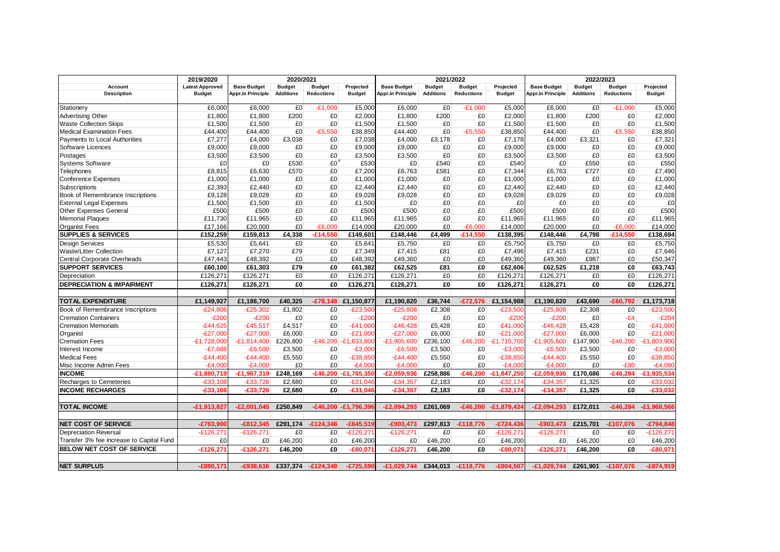|                                                      | 2019/2020              |                    | 2020/2021        |                   |                     | 2021/2022                |                  |                    | 2022/2023     |                          |                  |                   |               |
|------------------------------------------------------|------------------------|--------------------|------------------|-------------------|---------------------|--------------------------|------------------|--------------------|---------------|--------------------------|------------------|-------------------|---------------|
| Account                                              | <b>Latest Approved</b> | <b>Base Budget</b> | <b>Budget</b>    | <b>Budget</b>     | Projected           | <b>Base Budget</b>       | <b>Budget</b>    | <b>Budget</b>      | Projected     | <b>Base Budget</b>       | <b>Budget</b>    | <b>Budget</b>     | Projected     |
| <b>Description</b>                                   | <b>Budget</b>          | Appr.in Principle  | <b>Additions</b> | <b>Reductions</b> | <b>Budget</b>       | <b>Appr.in Principle</b> | <b>Additions</b> | <b>Reductions</b>  | <b>Budget</b> | <b>Appr.in Principle</b> | <b>Additions</b> | <b>Reductions</b> | <b>Budget</b> |
| Stationery                                           | £6,000                 | £6,000             | £0               | $-£1,000$         | £5,000              | £6,000                   | £0               | $-£1,000$          | £5,000        | £6,000                   | £0               | $-£1,000$         | £5,000        |
| <b>Advertising Other</b>                             | £1,800                 | £1,800             | £200             | £0                | £2,000              | £1,800                   | £200             | £0                 | £2,000        | £1,800                   | £200             | £0                | £2,000        |
| <b>Waste Collection Skips</b>                        | £1,500                 | £1,500             | £0               | £0                | £1,500              | £1,500                   | £0               | £0                 | £1,500        | £1,500                   | £0               | £0                | £1,500        |
| <b>Medical Examination Fees</b>                      | £44,400                | £44,400            | £0               | $-£5,550$         | £38,850             | £44,400                  | £0               | $-£5,550$          | £38,850       | £44,400                  | £0               | $-£5,550$         | £38,850       |
| Payments to Local Authorities                        | £7,277                 | £4,000             | £3,038           | £0                | £7,038              | £4,000                   | £3,178           | £0                 | £7,178        | £4,000                   | £3,321           | £0                | £7,321        |
| Software Licences                                    | £9,000                 | £9,000             | £0               | £0                | £9,000              | £9,000                   | £0               | £0                 | £9,000        | £9,000                   | £0               | £0                | £9,000        |
| Postages                                             | £3,500                 | £3,500             | £0               | £0                | £3,500              | £3,500                   | £0               | £0                 | £3,500        | £3,500                   | £0               | £0                | £3,500        |
| <b>Systems Software</b>                              | £0                     | £0                 | £530             | £0                | £530                | £0                       | £540             | £0                 | £540          | £0                       | £550             | £0                | £550          |
| Telephones                                           | £8,815                 | £6,630             | £570             | £0                | £7,200              | £6,763                   | £581             | £0                 | £7,344        | £6,763                   | £727             | £0                | £7,490        |
| <b>Conference Expenses</b>                           | £1,000                 | £1,000             | £0               | £0                | £1,000              | £1,000                   | £0               | £0                 | £1,000        | £1,000                   | £0               | £0                | £1,000        |
| Subscriptions                                        | £2,393                 | £2,440             | £0               | £0                | £2.440              | £2,440                   | £0               | £0                 | £2,440        | £2,440                   | £0               | £0                | £2,440        |
| Book of Remembrance Inscriptions                     | £9,128                 | £9,028             | £0               | £0                | £9,028              | £9,028                   | £0               | £0                 | £9,028        | £9,028                   | £0               | £0                | £9,028        |
| <b>External Legal Expenses</b>                       | £1,500                 | £1,500             | £0               | £0                | £1,500              | £0                       | £0               | £0                 | £0            | £0                       | £0               | £0                | £0            |
| Other Expenses General                               | £500                   | £500               | £0               | £0                | £500                | £500                     | £0               | £0                 | £500          | £500                     | £0               | £0                | £500          |
| <b>Memorial Plaques</b>                              | £11,730                | £11,965            | £0               | £0                | £11,965             | £11,965                  | £0               | £0                 | £11,965       | £11,965                  | £0               | £0                | £11,965       |
| <b>Organist Fees</b>                                 | £17.166                | £20,000            | £0               | $-E6,000$         | £14,000             | £20,000                  | £0               | $-E6.000$          | £14.000       | £20,000                  | £0               | $-E6,000$         | £14,000       |
| <b>SUPPLIES &amp; SERVICES</b>                       | £152,259               | £159,813           | £4,338           | £14,550           | £149,601            | £148,446                 | £4,499           | $-£14,550$         | £138,395      | £148,446                 | £4,798           | -£14,550          | £138,694      |
| Design Services                                      | £5,530                 | £5.641             | £0               | £0                | £5,641              | £5,750                   | £0               | £0                 | £5,750        | £5,750                   | £0               | £0                | £5,750        |
| <b>Waste/Litter Collection</b>                       | £7,127                 | £7,270             | £79              | £0                | £7,349              | £7,415                   | £81              | £0                 | £7,496        | £7,415                   | £231             | £0                | £7,646        |
| Central Corporate Overheads                          | £47,443                | £48,392            | £0               | £0                | £48,392             | £49,360                  | £0               | £0                 | £49,360       | £49,360                  | £987             | £0                | £50,347       |
| <b>SUPPORT SERVICES</b>                              | £60,100                | £61,303            | £79              | £0                | £61,382             | £62,525                  | £81              | £0                 | £62,606       | £62,525                  | £1,218           | £0                | £63,743       |
|                                                      | £126,271               | £126,271           | £0               | £0                | £126,271            | £126,271                 | £0               | £0                 | £126,271      | £126,271                 | £0               | £0                | £126,271      |
| Depreciation<br><b>DEPRECIATION &amp; IMPAIRMENT</b> | £126,271               | £126,271           | £0               | £0                | £126,271            | £126,271                 | £0               | £0                 | £126,271      | £126,271                 | £0               | £0                | £126,271      |
|                                                      |                        |                    |                  |                   |                     |                          |                  |                    |               |                          |                  |                   |               |
| <b>TOTAL EXPENDITURE</b>                             | £1,149,927             | £1,188,700         | £40.325          | $-£78.148$        | £1,150,877          | £1,190,820               | £36,744          | $-£72,576$         | £1,154,988    | £1,190,820               | £43,690          | $-£60,792$        | £1,173,718    |
| Book of Remembrance Inscriptions                     | $-E24,806$             | $-E25,302$         | £1,802           | £0                | $-E23,500$          | $-E25,808$               | £2,308           | £0                 | $-E23,500$    | $-E25,808$               | £2,308           | £0                | $-£23,500$    |
| <b>Cremation Containers</b>                          | $-E200$                | $-E200$            | £0               | £0                | $-E200$             | $-E200$                  | £0               | £0                 | $-E200$       | $-E200$                  | £0               | $-E4$             | $-E204$       |
| <b>Cremation Memorials</b>                           | $-£44,625$             | $-£45,517$         | £4,517           | £0                | $-£41,000$          | $-E46,428$               | £5,428           | £0                 | $-£41,000$    | $-E46,428$               | £5,428           | £0                | $-£41,000$    |
| Organist                                             | $-E27,000$             | $-E27,000$         | £6,000           | £0                | $-E21,000$          | $-E27,000$               | £6,000           | £0                 | $-E21,000$    | $-E27,000$               | £6,000           | £0                | $-E21,000$    |
| <b>Cremation Fees</b>                                | $-E1,728,000$          | $-E1,814,400$      | £226,800         | $-E46.200$        | $-E1,633,800$       | $-E1,905,600$            | £236,100         | $-E46,200$         | $-£1.715.700$ | $-E1,905,600$            | £147,900         | $-£46.200$        | £1,803,900    |
| Interest Income                                      | $-£7.688$              | $-E6,500$          | £3,500           | £0                | $-£3.00$            | $-E6,500$                | £3,500           | £0                 | $-£3.000$     | $-E6,500$                | £3,500           | £0                | $-£3,000$     |
| <b>Medical Fees</b>                                  | $-E44,400$             | $-E44,400$         | £5,550           | £0                | $-£38,850$          | $-E44,400$               | £5,550           | £0                 | $-£38,850$    | $-E44,400$               | £5,550           | £0                | $-£38,850$    |
| Misc Income Admin Fees                               | $-£4,00$               | $-E4,000$          | £0               | £0                | $-£4,000$           | $-E4,000$                | £0               | £0                 | $-£4,000$     | $-E4,000$                | £0               | $-E80$            | $-E4,080$     |
| <b>INCOME</b>                                        | $-£1,880,719$          | $-£1,967,319$      | £248,169         | $-£46,200$        | £1,765,350          | $-E2,059,936$            | £258,886         | $-£46,200$         | £1,847,250    | $-E2,059,936$            | £170,686         | $-£46,284$        | $-£1,935,534$ |
| Recharges to Cemeteries                              | $-£33.108$             | $-£33.726$         | £2,680           | £0                | $-£31.046$          | $-£34.357$               | £2,183           | £0                 | $-£32.174$    | $-£34.357$               | £1,325           | £0                | E33.032       |
| <b>INCOME RECHARGES</b>                              | $-£33,108$             | $-£33,726$         | £2,680           | £0                | $-£31,046$          | $-£34,357$               | £2,183           | £0                 | $-£32,174$    | $-£34,357$               | £1,325           | £0                | $-£33,032$    |
|                                                      |                        |                    |                  |                   |                     |                          |                  |                    |               |                          |                  |                   |               |
|                                                      |                        | $-E2.001.045$      |                  |                   |                     |                          |                  |                    |               |                          |                  |                   |               |
| <b>TOTAL INCOME</b>                                  | $-£1,913,827$          |                    | £250,849         |                   | -£46,200 -£1,796,39 | $-E2,094,293$            | £261,069         | $-£46,200$         | $-£1,879,424$ | $-E2,094,293$            | £172,011         | $-£46,284$        | $-£1,968,566$ |
| <b>NET COST OF SERVICE</b>                           | $-£763,900$            | $-£812.345$        | £291.174         | $-£124.348$       | $-£645,519$         | $-£903.473$              | £297,813         | $-£118,776$        | E724,436-     | $-£903.473$              | £215,701         | $-£107.076$       | $-£794,848$   |
| <b>Depreciation Reversal</b>                         | $-E126,271$            | $-E126,271$        | £0               | £0                | $-£126,27'$         | $-E126,271$              | £0               | £0                 | $-E126,271$   | $-£126,271$              | £0               | £0                | $-E126,271$   |
| Transfer 3% fee increase to Capital Fund             | £0                     | £0                 | £46,200          | £0                | £46,200             | £0                       | £46,200          | £0                 | £46,200       | £0                       | £46,200          | £0                | £46,200       |
| <b>BELOW NET COST OF SERVICE</b>                     | $-£126.271$            | $-£126.271$        | £46.200          | £0                | $-£80.071$          | $-£126.271$              | £46,200          | £0                 | $-£80.071$    | $-£126.271$              | £46.200          | £0                | $-£80.071$    |
|                                                      |                        |                    |                  |                   |                     |                          |                  |                    |               |                          |                  |                   |               |
| <b>NET SURPLUS</b>                                   | $-£890.171$            | -£938.616          | £337.374         | $-E124.348$       | $-£725.590$         | $-£1.029.744$            |                  | £344.013 -£118.776 | $-£804.507$   | $-E1.029.744$            | £261.901         | $-£107.076$       | $-£874.919$   |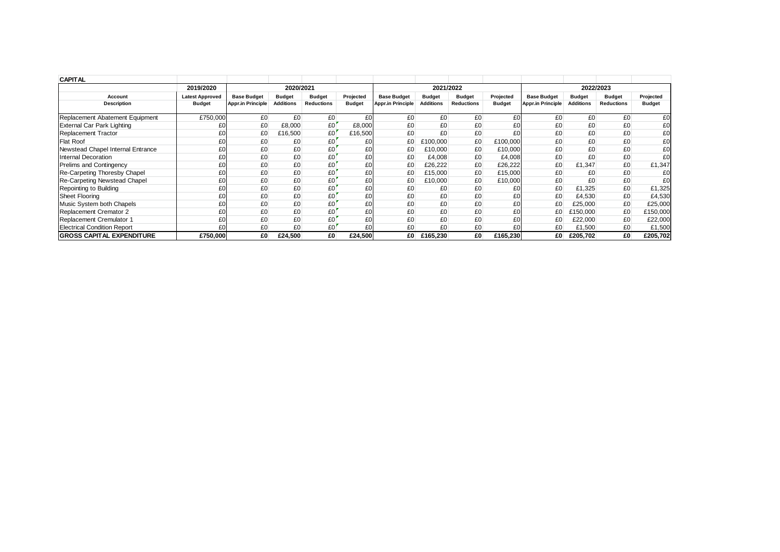| <b>CAPITAL</b>                      |                        |                          |                  |                   |               |                          |                                |                   |               |                                     |                  |                   |               |
|-------------------------------------|------------------------|--------------------------|------------------|-------------------|---------------|--------------------------|--------------------------------|-------------------|---------------|-------------------------------------|------------------|-------------------|---------------|
|                                     | 2019/2020              |                          | 2020/2021        |                   |               |                          | 2021/2022                      |                   |               | 2022/2023                           |                  |                   |               |
| Account                             | <b>Latest Approved</b> | <b>Base Budget</b>       | <b>Budget</b>    | <b>Budget</b>     | Projected     | <b>Base Budget</b>       | <b>Budget</b><br><b>Budget</b> |                   |               | <b>Base Budget</b><br><b>Budget</b> |                  | <b>Budget</b>     | Projected     |
| <b>Description</b>                  | <b>Budget</b>          | <b>Appr.in Principle</b> | <b>Additions</b> | <b>Reductions</b> | <b>Budget</b> | <b>Appr.in Principle</b> | <b>Additions</b>               | <b>Reductions</b> | <b>Budget</b> | <b>Appr.in Principle</b>            | <b>Additions</b> | <b>Reductions</b> | <b>Budget</b> |
| Replacement Abatement Equipment     | £750,000               | £0                       | £0               | £0                | £0            | £0                       | £0                             | £0                | £0            | £0                                  | £0               | £0                | £0            |
| External Car Park Lighting          | £С                     | £0                       | £8,000           | £0                | £8,000        | £0                       | £0                             | £0                | £0            | £0                                  | £0               | £0                | £0            |
| <b>Replacement Tractor</b>          | £С                     | £0                       | £16,500          | £0                | £16,500       | £0                       | £0                             | £0                | £0            | £0                                  | £0               | £0                | £0            |
| <b>Flat Roof</b>                    | £С                     | £0                       | £0               | £0                | £0            | £0                       | £100,000                       | £0                | £100,000      | £0                                  | £0               | £0                | £0            |
| Newstead Chapel Internal Entrance   | £С                     | £0                       | £0               | £0                | £0            | £0                       | £10,000                        | £0                | £10,000       | £0                                  | £0               | £0                | £0            |
| Internal Decoration                 | £С                     | £0                       | £0               | £0                | £0            | £0                       | £4,008                         | £0                | £4,008        | £0                                  | £0               | £0                | £0            |
| Prelims and Contingency             | £С                     | £0                       | £0               | £0                | £0            | £0                       | £26,222                        | £0                | £26,222       | £0                                  | £1,347           | £0                | £1,347        |
| Re-Carpeting Thoresby Chapel        | £C                     | £0                       | £0               | £0                | £0            | £0                       | £15,000                        | £0                | £15,000       | £0                                  | £0               | £0                | £0            |
| <b>Re-Carpeting Newstead Chapel</b> | £0                     | £0                       | £0               | £0                | £0            | £0                       | £10,000                        | £0                | £10,000       | £0                                  | £0               | £0                | £0            |
| Repointing to Building              | £С                     | £0                       | £0               | £0                | £0            | £0                       | £0                             | £0                | £0            | £0                                  | £1,325           | £0                | £1,325        |
| <b>Sheet Flooring</b>               | £С                     | £0                       | £0               | £0                | £0            | £0                       | £0                             | £0                | £0            | £0                                  | £4,530           | £0                | £4,530        |
| Music System both Chapels           | £С                     | £0                       | £0               | £0                | £0            | £0                       | £0                             | £0                | £0            | £0                                  | £25,000          | £0                | £25,000       |
| Replacement Cremator 2              | £С                     | £0                       | £0               | £0                | £0            | £0                       | £0                             | £0                | £0            | £0                                  | £150,000         | £0                | £150,000      |
| Replacement Cremulator 1            | £С                     | £0                       | £0               | £0                | £0            | £0                       | £0                             | £0                | £0            | £0                                  | £22,000          | £0                | £22,000       |
| <b>Electrical Condition Report</b>  | £С                     | £0                       | £0               | £0                | £0            | £0                       | £0                             | £0                | £0            | £0                                  | £1,500           | £0                | £1,500        |
| <b>GROSS CAPITAL EXPENDITURE</b>    | £750,000               | £0                       | £24,500          | £O                | £24,500       | £O                       | £165,230                       | £0                | £165,230      | £0                                  | £205,702         | £0                | £205,702      |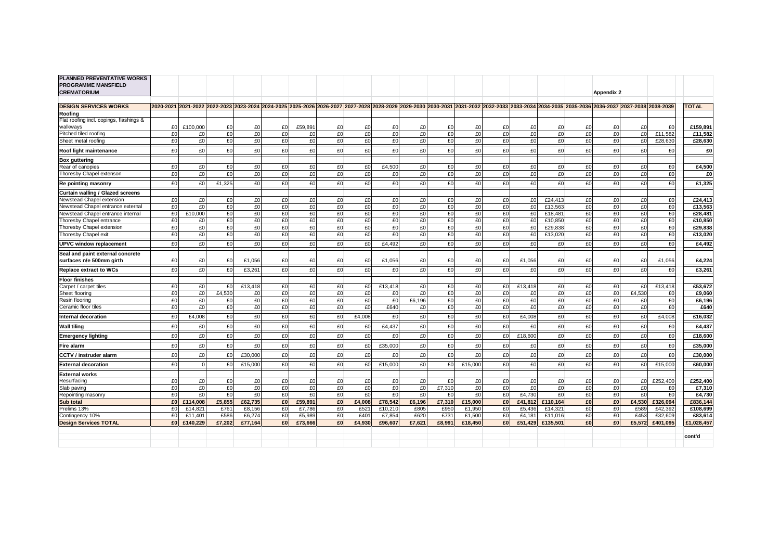| PLANNED PREVENTATIVE WORKS<br><b>PROGRAMME MANSFIELD</b><br><b>CREMATORIUM</b> |                |                    |              |                  |                |                  |                |                          |                                                                                                                                                                                               |              |              |                  |          |                  |                    |                | Appendix 2 |              |                    |                     |
|--------------------------------------------------------------------------------|----------------|--------------------|--------------|------------------|----------------|------------------|----------------|--------------------------|-----------------------------------------------------------------------------------------------------------------------------------------------------------------------------------------------|--------------|--------------|------------------|----------|------------------|--------------------|----------------|------------|--------------|--------------------|---------------------|
|                                                                                |                |                    |              |                  |                |                  |                |                          | 2020-2021 2021-2022 2022-2023 2023-2024 2024-2025 2025-2026 2026-2027 2027-2028 2028-2029 2029-2030 2030-2031 2031-2032 2032-2033 2033-2034 2034-2035 2035-2036 2036-2037 2037-2038 2038-2039 |              |              |                  |          |                  |                    |                |            |              |                    | <b>TOTAL</b>        |
| <b>DESIGN SERVICES WORKS</b><br>Roofina                                        |                |                    |              |                  |                |                  |                |                          |                                                                                                                                                                                               |              |              |                  |          |                  |                    |                |            |              |                    |                     |
| Flat roofing incl. copings, flashings &                                        |                |                    |              |                  |                |                  |                |                          |                                                                                                                                                                                               |              |              |                  |          |                  |                    |                |            |              |                    |                     |
| walkways                                                                       | £0             | £100,000           | £0           | £0               | £0             | £59.891          | £0             | £0                       | £0                                                                                                                                                                                            | £0           | £0           | £0               | £0       | £0               | £0                 | £0             | £0         | £0           | £0                 | £159,891            |
| Pitched tiled roofing                                                          | £0             | £0                 | £0           | £0               | E <sub>0</sub> | £0               | £0             | £0                       | £0                                                                                                                                                                                            | £0           | £0           | £0               | £0       | £0               | £0                 | £0             | £0         | £0           | £11,582            | £11,582             |
| Sheet metal roofing                                                            | £0             | £0                 | £0           | £0               | £0             | £0               | £0             | £0                       | £0                                                                                                                                                                                            | £0           | £0           | £0               | £0       | £0               | £0                 | £0             | £O         | £0           | £28,630            | £28,630             |
| Roof light maintenance                                                         | £0             | £0                 | £0           | £0               | £0             | £0               | £0             | £0                       | £0                                                                                                                                                                                            | £0           | £0           | £0               | £0       | £0               | £0                 | £0             | £0         | £0           | £0                 | £O                  |
| <b>Box guttering</b>                                                           |                |                    |              |                  |                |                  |                |                          |                                                                                                                                                                                               |              |              |                  |          |                  |                    |                |            |              |                    |                     |
| Rear of canopies                                                               | £0             | £0                 | £0           | £0               | £0             | £0               | £0             | £0                       | £4.500                                                                                                                                                                                        | £0           | £0           | £0               | £0       | £0               | £0                 | £0             | £0         | £0           | £0                 | £4,500              |
| Thoresby Chapel extenson                                                       | £0             | £0                 | £0           | £0               | £0             | £0               | £0             | £0                       | £0                                                                                                                                                                                            | £0           | £0           | £0               | £0       | £0               | £0                 | £0             | £0         | £0           | £0                 | £0                  |
| Re pointing masonry                                                            | £0             | £0                 | £1,325       | £0               | £0             | £0               | £0             | £0                       | £0                                                                                                                                                                                            | £0           | £0           | £0               | £0       | £O               | £0                 | £0             | £0         | £0           | £0                 | £1,325              |
| Curtain walling / Glazed screens                                               |                |                    |              |                  |                |                  |                |                          |                                                                                                                                                                                               |              |              |                  |          |                  |                    |                |            |              |                    |                     |
| Newstead Chapel extension                                                      | £0             | £0                 | £0           | £0               | £0             | £0               | £0             | £0                       | £0                                                                                                                                                                                            | £0           | £0           | £0               | £0       | £0               | £24.413            | £0             | £0         | £0           | £0                 | £24,413             |
| Newstead Chapel entrance external                                              | £0             | £0                 | £0           | £0               | £0             | £0               | £0             | £0                       | £0                                                                                                                                                                                            | £0           | £0           | £0               | £0       | £0               | £13,563            | £0             | £O         | £0           | £0                 | £13,563             |
| Newstead Chapel entrance internal                                              | E <sub>0</sub> | £10,000            | £0           | £0               | £0             | £0               | £0             | £0                       | £0                                                                                                                                                                                            | £0           | £0           | £0               | £0       | £0               | £18,481            | £0             | £0         | £0           | £0                 | £28,481             |
| Thoresby Chapel entrance                                                       | £0             | £0                 | £0           | £0               | f(0)           | £0               | £0             | £0                       | £0                                                                                                                                                                                            | £0           | £0           | £0               | £0       | £0               | £10.850            | £0             | £O         | £0           | £0                 | £10,850             |
| Thoresby Chapel extension                                                      | £0             | £0                 | £0           | £0               | £0             | £0<br>£0         | £0             | £0<br>£0                 | £0                                                                                                                                                                                            | £0           | £0           | £0               | £0       | £0               | £29,838            | £0             | £0         | £0           | £0<br>£0           | £29,838             |
| Thoresby Chapel exit                                                           | £0             | £0                 | £0           | £0               | £0             |                  | £0             |                          | £0                                                                                                                                                                                            | £0           | £0           | £0               | £0       | £0               | £13,020            | £0             | £0         | £0           |                    | £13,020             |
| <b>UPVC window replacement</b>                                                 | £0             | £0                 | £0           | £0               | £0             | £0               | E <sub>0</sub> | £0                       | £4.492                                                                                                                                                                                        | £0           | £0           | £0               | £0       | £0               | £0                 | E <sub>0</sub> | £0         | £0           | £0                 | £4,492              |
| Seal and paint external concrete<br>surfaces n/e 500mm girth                   | £0             | £0                 | £0           | £1,056           | £0             | £0               | £0             | £0                       | £1,056                                                                                                                                                                                        | £0           | £0           | £0               | £0       | £1,056           | £0                 | £0             | £0         | £0           | £1,056             | £4,224              |
| <b>Replace extract to WCs</b>                                                  | £0             | £0                 | £0           | £3,261           | £0             | £0               | £0             | £0                       | £0                                                                                                                                                                                            | £0           | £0           | £0               | £0       | £0               | £0                 | £0             | £0         | £0           | £0                 | £3,261              |
| <b>Floor finishes</b>                                                          |                |                    |              |                  |                |                  |                |                          |                                                                                                                                                                                               |              |              |                  |          |                  |                    |                |            |              |                    |                     |
| Carpet / carpet tiles                                                          | £0             | £0                 | £0           | £13,418          | £0             | £0               | £0             | £0                       | £13.418                                                                                                                                                                                       | £0           | £0           | £0               | £0       | £13.418          | £0                 | £0             | £0         | £0           | £13,418            | £53,672             |
| Sheet flooring                                                                 | £0             | £0                 | £4,530       | £0               | £0             | £0               | £0             | £0                       | £0                                                                                                                                                                                            | £0           | £0           | £0               | £0       | £0               | £0                 | £0             | £0         | £4,530       | £0                 | £9,060              |
| Resin flooring                                                                 | £0             | £0                 | £0           | £0               | £0             | £0               | £0             | £0                       | £0                                                                                                                                                                                            | £6.196       | £0           | £0               | £0       | £O               | £0                 | £0             | £0         | £0           | £0                 | £6,196              |
| Ceramic floor tiles                                                            | £0             | £0                 | £0           | £0               | £0             | £0               | £0             | £0                       | £640                                                                                                                                                                                          | £0           | £0           | £0               | £0       | £O               | £0                 | £0             | £0         | £0           | £0                 | £640                |
| Internal decoration                                                            | £0             | £4,008             | £0           | £0               | £0             | £0               | £0             | £4,008                   | £0                                                                                                                                                                                            | £0           | £0           | £0               | £0       | £4,008           | £0                 | £0             | £0         | £0           | £4,008             | £16,032             |
| <b>Wall tiling</b>                                                             | £0             | £0                 | £0           | £0               | £0             | £0               | £0             | £0                       | £4,437                                                                                                                                                                                        | £0           | £0           | £0               | £0       | £0               | £0                 | £0             | £0         | £0           | £0                 | £4,437              |
| <b>Emergency lighting</b>                                                      | £0             | £0                 | £0           | £0               | £0             | E <sub>0</sub>   | £0             | £0                       | £0                                                                                                                                                                                            | £0           | £0           | £0               | £0       | £18,600          | £0                 | E <sub>0</sub> | £0         | £0           | £0                 | £18,600             |
| Fire alarm                                                                     | £0             | £0                 | £0           | £0               | £0             | £0               | £0             | £0                       | £35,000                                                                                                                                                                                       | £0           | £0           | £0               | £0       | £0               | £0                 | £0             | £0         | £0           | £0                 | £35,000             |
| <b>CCTV / instruder alarm</b>                                                  | £0             | £0                 | £0           | £30,000          | £0             | £0               | £0             | £0                       | £0                                                                                                                                                                                            | £0           | £0           | £0               | £0       | £0               | £0                 | £0             | £0         | £0           | £0                 | £30,000             |
| <b>External decoration</b>                                                     | £0             | $\mathbf 0$        | £0           | £15,000          | £0             | £0               | £0             | £0                       | £15,000                                                                                                                                                                                       | £0           | £0           | £15,000          | £0       | £0               | £0                 | £0             | £0         | £0           | £15,000            | £60,000             |
| <b>External works</b>                                                          |                |                    |              |                  |                |                  |                |                          |                                                                                                                                                                                               |              |              |                  |          |                  |                    |                |            |              |                    |                     |
| Resurfacing                                                                    | £0             | £0                 | £0           | £0               | £0             | £0               | £0             | £0                       | £0                                                                                                                                                                                            | £0           | £0           | £0               | £0       | £0               | £0                 | £0             | £0         | £0           | £252.400           | £252.400            |
| Slab paving                                                                    | £0             | £0                 | £0           | £0               | £0             | £0               | £0             | £0                       | £0                                                                                                                                                                                            | £0           | £7,310       | £0               | £0       | £0               | £0                 | £0             | £0         | £0           | £0                 | £7,310              |
| Repointing masonry                                                             | £0             | £0                 | £0           | £0               | £0             | £0               | £0             | £0                       | £0                                                                                                                                                                                            | £0           | £0           | £0               | £0       | £4,730           | £0                 | £0             | £0         | £0           | £0                 | £4,730              |
| Sub total                                                                      | £O             | £114,008           | £5.855       | £62,735          | £0             | £59,891          | £0             | £4.008                   | £78,542                                                                                                                                                                                       | £6.196       | £7,310       | £15,000          | £0       | £41,812          | £110,164           | £O             | £0         | £4,530       | £326,094           | £836,144            |
| Prelims 13%<br>Contingency 10%                                                 | £0<br>£0       | £14,821<br>£11.401 | £761<br>£586 | £8,156<br>£6,274 | £0<br>£0       | £7,786<br>£5,989 | £0<br>£0       | £521<br>£40 <sup>-</sup> | £10,210<br>£7.854                                                                                                                                                                             | £805<br>£620 | £950<br>£731 | £1,950<br>£1.500 | £0<br>£0 | £5,436<br>£4.181 | £14,321<br>£11,016 | £0<br>£0       | £0<br>£0   | £589<br>£453 | £42,392<br>£32.609 | £108,699<br>£83,614 |
| <b>Design Services TOTAL</b>                                                   | £O             | £140,229           | £7,202       | £77,164          | £O             | £73,666          | £0             | £4,930                   | £96,607                                                                                                                                                                                       | £7,621       | £8,991       | £18,450          | £O       | £51,429          | £135,501           | £O             | £0         | £5,572       | £401,095           | £1,028,457          |
|                                                                                |                |                    |              |                  |                |                  |                |                          |                                                                                                                                                                                               |              |              |                  |          |                  |                    |                |            |              |                    |                     |
|                                                                                |                |                    |              |                  |                |                  |                |                          |                                                                                                                                                                                               |              |              |                  |          |                  |                    |                |            |              |                    | cont'd              |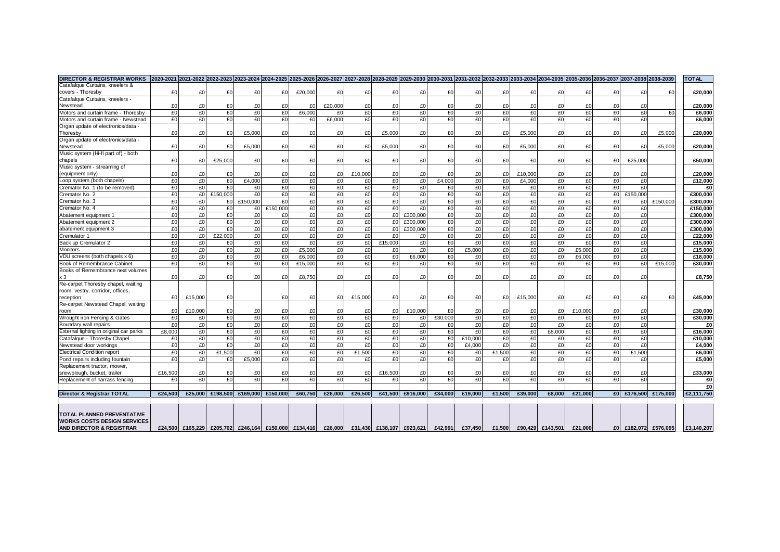| <b>DIRECTOR &amp; REGISTRAR WORKS</b>                                   |         |         |                                                      |          |             |         | 2020-2021  2021-2022  2022-2023  2023-2024  2024-2025  2025-2026  2026-2027  2027-2028  2028-2029  2029-2030  2030-2031  2031-2032  2032-2033  2033-2034  2034-2035  2035-2036  2036-2037  2037-2038  2038-2039 |              |          |                           |          |         |        |         |                  |         |          |             |                   | <b>TOTAL</b> |
|-------------------------------------------------------------------------|---------|---------|------------------------------------------------------|----------|-------------|---------|-----------------------------------------------------------------------------------------------------------------------------------------------------------------------------------------------------------------|--------------|----------|---------------------------|----------|---------|--------|---------|------------------|---------|----------|-------------|-------------------|--------------|
| Catafalque Curtains, kneelers &                                         |         |         |                                                      |          |             |         |                                                                                                                                                                                                                 |              |          |                           |          |         |        |         |                  |         |          |             |                   |              |
| covers - Thoresby                                                       | £0      | £0      | £0                                                   | £0       | £0          | £20,000 | £0                                                                                                                                                                                                              | £0           | £0       | £0                        | £0       | £0      | £0     | £0      | £0               | £0      | £0       | £0          | £0                | £20,000      |
| Catafalque Curtains, kneelers -                                         |         |         |                                                      |          |             |         |                                                                                                                                                                                                                 |              |          |                           |          |         |        |         |                  |         |          |             |                   |              |
| Newstead                                                                | £0      | £0      | £0                                                   | £0       | £0          | £0      | £20,000                                                                                                                                                                                                         | £0           | £0       | £0                        | £0       | £0      | £0     | £0      | £0               | £0      | £0       | £0          |                   | £20,000      |
| Motors and curtain frame - Thoresby                                     | £0      | £0      | £0                                                   | £0       | £0          | £6,000  | £0                                                                                                                                                                                                              | £0           | £0       | £0                        | £0       | £0      | £0     | £0      | £0               | £0      | £0       | £0          | £0                | £6,000       |
| Motors and curtain frame - Newstead                                     | £0      | £0      | £0                                                   | £O       | f(0)        | £0      | £6,000                                                                                                                                                                                                          | f(0)         | £0       | £0                        | £0       | f(0)    | £0     | £0      | f(0)             | £0      | £0       | f(          |                   | £6,000       |
| Organ update of electronics/data                                        |         |         |                                                      |          |             |         |                                                                                                                                                                                                                 |              |          |                           |          |         |        |         |                  |         |          |             |                   |              |
| Thoresby                                                                | £0      | £0      | £0                                                   | £5,000   | £0          | £0      | £0                                                                                                                                                                                                              | £0           | £5.000   | £0                        | £0       | £0      | £0     | £5,000  | £0               | £0      | £0       | £0          | £5,000            | £20.000      |
| Organ update of electronics/data -                                      |         |         |                                                      |          |             |         |                                                                                                                                                                                                                 |              |          |                           |          |         |        |         |                  |         |          |             |                   |              |
| Newstead                                                                | £0      | £0      | £0                                                   | £5,000   | £0          | £0      | £0                                                                                                                                                                                                              | £0           | £5,000   | £0                        | £0       | £0      | £0     | £5,000  | £0               | £0      | £0       | £0          | £5,000            | £20,000      |
| Music system (Hi-fi part of) - both                                     |         |         |                                                      |          |             |         |                                                                                                                                                                                                                 |              |          |                           |          |         |        |         |                  |         |          |             |                   |              |
| chapels                                                                 | £0      | £0      | £25,000                                              | £0       | £0          | £0      | £0                                                                                                                                                                                                              | £0           | £0       | £0                        | £0       | £0      | £0     | £0      | £0               | £0      | £0       | £25,000     |                   | £50,000      |
| Music system - streaming of                                             |         |         |                                                      |          |             |         |                                                                                                                                                                                                                 |              |          |                           |          |         |        |         |                  |         |          |             |                   |              |
| (equipment only)                                                        | £0      | £0      | £0                                                   | £0       | £0          | £0      | £0                                                                                                                                                                                                              | £10,000      | £0       | £0                        | £O       | £0      | £0     | £10,000 | £0               | £0      | £0       | £0          |                   | £20,000      |
| Loop system (both chapels)                                              | £0      | £0      | £0                                                   | £4,000   | £0          | £0      | £0                                                                                                                                                                                                              | £0           | £0       | £0                        | £4,000   | £0      | £0     | £4,000  | £0               | £0      | £0       | £0          |                   | £12,000      |
| Cremator No. 1 (to be removed)                                          | £0      | £0      | £0                                                   | £0       | £0          | £0      | £0                                                                                                                                                                                                              | £0           | £0       | £0                        | £0       | £O      | £0     | £0      | £0               | £0      | £0       | £0          |                   | £0           |
| Cremator No. 2                                                          | £0      | £O      | £150,000                                             | £0       | £0          | £0      | £0                                                                                                                                                                                                              | £0           | £0       | £0                        | £0       | £0      | £0     | £0      | £0               | £0      | £0       | £150,000    |                   | £300,000     |
| Cremator No. 3                                                          | £0      | £0      | £0                                                   | £150,000 | £0          | £0      | £0                                                                                                                                                                                                              | £0           | £0       | £0                        | £0       | £O      | £0     | £0      | £0               | £0      | £0       | £0          | £150,000          | £300,000     |
| Cremator No. 4                                                          | £0      | £0      | £0                                                   |          | £0 £150,000 | £0      | £0                                                                                                                                                                                                              | £0           | £0       | £0                        | £0       | £O      | £0     | £0      | £0               | £0      | £0       | £0          |                   | £150,000     |
| Abatement equipment 1                                                   | £0      | £0      | £0                                                   | £0       | £0          | £0      | £0                                                                                                                                                                                                              | £0           | £0       | £300,000                  | £0       | £0      | £0     | £0      | £0               | £0      | £0       | £0          |                   | £300,000     |
| Abatement equipment 2                                                   | £0      | £0      | £0                                                   | £O       | £0          | £0      | £0                                                                                                                                                                                                              | £0           | £O       | £300,000                  | £0       | £O      | £0     | £0      | £0               | £0      | £0       | £0          |                   | £300,000     |
| abatement equipment 3                                                   | £0      | £0      | £0                                                   | £0       | £0          | £0      | £0                                                                                                                                                                                                              | £0           | £0       | £300,000                  | £0       | £O      | £0     | £0      | £0               | £0      | £0       | £0          |                   | £300,000     |
| Cremulator '                                                            | £0      | £0      | £22.000                                              | £O       | £0          | £0      | £0                                                                                                                                                                                                              | £0           | £0       | £0                        | £0       | £O      | £0     | £0      | £0               | £0      | £0       | £0          |                   | £22,000      |
| Back up Cremulator 2                                                    | £0      | £0      | £0                                                   | £0       | £0          | £0      | £0                                                                                                                                                                                                              | £0           | £15,000  | £0                        | £0       | £O      | £0     | £0      | £0               | £0      | £0       | £0          |                   | £15,000      |
| Monitors                                                                | £0      | f(0)    | £0                                                   | £O       | f(          | £5,000  | £0                                                                                                                                                                                                              | £0           | £0       | £0                        | £0       | £5.000  | £0     | £0      | f(0)             | £5.000  | £0       | £0          |                   | £15,000      |
| VDU screens (both chapels x 6)                                          | £0      | £0      | £0                                                   | £0       | £0          | £6,000  | £0                                                                                                                                                                                                              | £0           | £0       | £6,000                    | £0       | £O      | £O     | £0      | £0               | £6,000  | £0       | £0          |                   | £18,000      |
| Book of Remembrance Cabinet                                             | £0      | £0      | £0                                                   | £O       | £0          | £15,000 | £0                                                                                                                                                                                                              | £0           | £0       | £0                        | £0       | £0      | £0     | £0      | £0               | £0      | £0       | £O          | £15,000           | £30,000      |
| Books of Remembrance next volumes                                       |         |         |                                                      |          |             |         |                                                                                                                                                                                                                 |              |          |                           |          |         |        |         |                  |         |          |             |                   |              |
| x3                                                                      | £0      | £0      | £0                                                   | £0       | £0          | £8,750  | £0                                                                                                                                                                                                              | £0           | £0       | £0                        | £0       | £0      | £0     | £0      | £0               | £0      | £0       | £0          |                   | £8,750       |
| Re-carpet Thoresby chapel, waiting                                      |         |         |                                                      |          |             |         |                                                                                                                                                                                                                 |              |          |                           |          |         |        |         |                  |         |          |             |                   |              |
| room, vestry, corridor, offices,                                        |         |         |                                                      |          |             |         |                                                                                                                                                                                                                 |              |          |                           |          |         |        |         |                  |         |          |             |                   |              |
| reception                                                               | £0      | £15,000 | £0                                                   |          | £0          | £0      | £0                                                                                                                                                                                                              | £15,000      | £0       | £0                        | £0       | £O      | £0     | £15,000 | £0               | £0      | £0       | £0          | £0                | £45,000      |
| Re-carpet Newstead Chapel, waiting                                      |         |         |                                                      |          |             |         |                                                                                                                                                                                                                 |              |          |                           |          |         |        |         |                  |         |          |             |                   |              |
| room                                                                    | £0      | £10,000 | £0                                                   | £0       | £0          | £0      | £0                                                                                                                                                                                                              | £0           | £0       | £10,000                   | £0       | £0      | £0     | £0      | £0               | £10,000 | £0       | £0          |                   | £30,000      |
| Wrought iron Fencing & Gates                                            | £0      | £0      | £0                                                   | £ol      | £0          | £0      | £0                                                                                                                                                                                                              | £0           | £0       | £0                        | £30,000  | £O      | £0     | £0      | £0               | £0      | £0       | £0          |                   | £30.000      |
| Boundary wall repairs                                                   | £0      | £0      | £0                                                   | £0       | £0          | £0      | £0                                                                                                                                                                                                              | £0           | £0       | £0                        | £0       | £0      | £0     | £0      | £0               | £0      | £0       | £0          |                   | £0           |
|                                                                         | £8,000  | £0      | £0                                                   | £0       | £0          | £0      | £0                                                                                                                                                                                                              | £0           | £0       | £0                        | £0       | £0      | £0     | £0      | £8,000           | £0      | £0       | £0          |                   | £16,000      |
| External lighting in original car parks<br>Catafalgue - Thoresby Chapel | £0      | £0      | £0                                                   | £0       | £0          | £0      | £0                                                                                                                                                                                                              | £0           | £0       | £0                        | £0       | £10,000 | £0     | £0      | £0               | £0      | £0       | £0          |                   | £10,000      |
| Newstead door workings                                                  | £0      | £0      | £0                                                   |          |             | £0      |                                                                                                                                                                                                                 |              |          | £0                        |          |         | £0     |         |                  | £0      |          | £0          |                   |              |
|                                                                         | £0      | £0      |                                                      | £0<br>£0 | £0<br>£0    | £0      | £0<br>£0                                                                                                                                                                                                        | £0<br>£1,500 | £0<br>£0 | £0                        | £0<br>£0 | £4,000  | £1.500 | £0      | £0<br>£0         | £0      | £0<br>£0 |             |                   | £4,000       |
| <b>Electrical Condition report</b>                                      | £0      |         | £1,500                                               |          | £0          | £0      | £0                                                                                                                                                                                                              |              | £0       | £0                        |          | £0      |        | £0      |                  | £0      | £0       | £1,500      |                   | £6,000       |
| Pond repairs including fountain                                         |         | £0      | £0                                                   | £5,000   |             |         |                                                                                                                                                                                                                 | £0           |          |                           | £0       | £O      | £0     | £0      | £0               |         |          | £0          |                   | £5,000       |
| Replacement tractor, mower,                                             |         |         |                                                      |          |             |         |                                                                                                                                                                                                                 |              |          |                           |          |         |        |         |                  |         |          |             |                   |              |
| snowplough, bucket, trailer                                             | £16,500 | £0      | £0                                                   | £0       | £0          | £0      | £0                                                                                                                                                                                                              | £0           | £16,500  | £0                        | £O       | £0      | £0     | £0      | £0               | £0      | £0       | £0          |                   | £33,000      |
| Replacement of harrass fencing                                          | £0      | £0      | £0                                                   | £ol      | £0          | £0      | £0                                                                                                                                                                                                              | £0           | £0       | £0                        | £0       | f(0)    | £0     | £O      | f(0)             | £0      | £0       | £0          |                   | £0<br>£O     |
| Director & Registrar TOTAL                                              | £24.500 | £25,000 | £198,500                                             | £169,000 | £150,000    | £60,750 | £26,000                                                                                                                                                                                                         | £26,500      | £41,500  | £916,000                  | £34.000  | £19,000 | £1,500 | £39,000 | £8,000           | £21,000 |          | £0 £176,500 | £175,000          | £2,111,750   |
|                                                                         |         |         |                                                      |          |             |         |                                                                                                                                                                                                                 |              |          |                           |          |         |        |         |                  |         |          |             |                   |              |
| <b>TOTAL PLANNED PREVENTATIVE</b><br><b>WORKS COSTS DESIGN SERVICES</b> |         |         |                                                      |          |             |         |                                                                                                                                                                                                                 |              |          |                           |          |         |        |         |                  |         |          |             |                   |              |
| AND DIRECTOR & REGISTRAR                                                |         |         | £24,500 £165,229 £205,702 £246,164 £150,000 £134,416 |          |             |         | £26,000                                                                                                                                                                                                         |              |          | £31,430 £138,107 £923,621 | £42,991  | £37,450 | £1,500 |         | £90,429 £143,501 | £21,000 | £O       |             | £182,072 £576,095 | £3,140,207   |